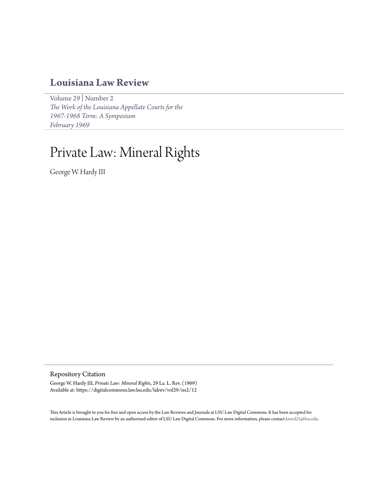# **[Louisiana Law Review](https://digitalcommons.law.lsu.edu/lalrev)**

[Volume 29](https://digitalcommons.law.lsu.edu/lalrev/vol29) | [Number 2](https://digitalcommons.law.lsu.edu/lalrev/vol29/iss2) *[The Work of the Louisiana Appellate Courts for the](https://digitalcommons.law.lsu.edu/lalrev/vol29/iss2) [1967-1968 Term: A Symposium](https://digitalcommons.law.lsu.edu/lalrev/vol29/iss2) [February 1969](https://digitalcommons.law.lsu.edu/lalrev/vol29/iss2)*

# Private Law: Mineral Rights

George W. Hardy III

Repository Citation

George W. Hardy III, *Private Law: Mineral Rights*, 29 La. L. Rev. (1969) Available at: https://digitalcommons.law.lsu.edu/lalrev/vol29/iss2/12

This Article is brought to you for free and open access by the Law Reviews and Journals at LSU Law Digital Commons. It has been accepted for inclusion in Louisiana Law Review by an authorized editor of LSU Law Digital Commons. For more information, please contact [kreed25@lsu.edu](mailto:kreed25@lsu.edu).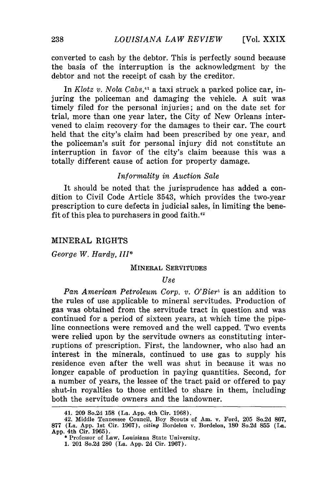converted to cash by the debtor. This is perfectly sound because the basis of the interruption is the acknowledgment by the debtor and not the receipt of cash by the creditor.

In *Klotz v. Nola Cabs,41* a taxi struck a parked police car, injuring the policeman and damaging the vehicle. A suit was timely filed for the personal injuries; and on the date set for trial, more than one year later, the City of New Orleans intervened to claim recovery for the damages to their car. The court held that the city's claim had been prescribed by one year, and the policeman's suit for personal injury did not constitute an interruption in favor of the city's claim because this was a totally different cause of action for property damage.

# *Informality in Auction Sale*

It should be noted that the jurisprudence has added a condition to Civil Code Article 3543, which provides the two-year prescription to cure defects in judicial sales, in limiting the benefit of this plea to purchasers in good faith. $42$ 

#### MINERAL RIGHTS

*George W. Hardy, III\**

#### MINERAL SERVITUDES

#### *Use*

*Pan American Petroleum Corp. v. O'Bierl* is an addition to the rules of use applicable to mineral servitudes. Production of gas was obtained from the servitude tract in question and was continued for a period of sixteen years, at which time the pipeline connections were removed and the well capped. Two events were relied upon by the servitude owners as constituting interruptions of prescription. First, the landowner, who also had an interest in the minerals, continued to use gas to supply his residence even after the well was shut in because it was no longer capable of production in paying quantities. Second, for a number of years, the lessee of the tract paid or offered to pay shut-in royalties to those entitled to share in them, including both the servitude owners and the landowner.

<sup>41,</sup> **209** So.2d **158** (La. **App.** 4th Cir. **1968).**

<sup>42.</sup> Middle Tennessee Council, Boy Scouts of Am. v. Ford, **205** So.2d **867, 877** (La. **App.** 1st Cir. **1967),** *citing* Bordelon v. Bordelon, **180** So.2d **855** (La. **App.** 4th Cir. **1965).**

<sup>\*</sup> Professor of Law, Louisiana State University.

**<sup>1.</sup>** 201 So.2d **280** (La. **App. 2d** Cir. **1967).**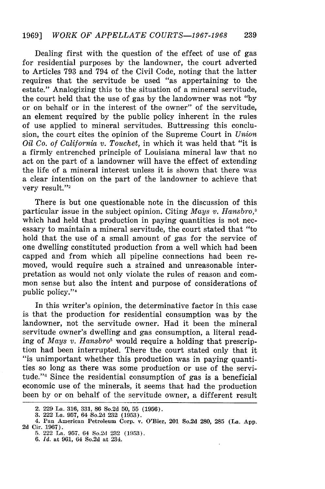Dealing first with the question of the effect of use of gas for residential purposes by the landowner, the court adverted to Articles 793 and 794 of the Civil Code, noting that the latter requires that the servitude be used "as appertaining to the estate." Analogizing this to the situation of a mineral servitude, the court held that the use of gas by the landowner was not "by or on behalf or in the interest of the owner" of the servitude, an element required by the public policy inherent in the rules of use applied to mineral servitudes. Buttressing this conclusion, the court cites the opinion of the Supreme Court in *Union Oil Co. of California v. Touchet,* in which it was held that "it is a firmly entrenched principle of Louisiana mineral law that no act on the part of a landowner will have the effect of extending the life of a mineral interest unless it is shown that there was a clear intention on the part of the landowner to achieve that very result."<sup>2</sup>

There is but one questionable note in the discussion of this particular issue in the subject opinion. Citing *Mays v. Hansbro,3* which had held that production in paying quantities is not necessary to maintain a mineral servitude, the court stated that "to hold that the use of a small amount of gas for the service of one dwelling constituted production from a well which had been capped and from which all pipeline connections had been removed, would require such a strained and unreasonable interpretation as would not only violate the rules of reason and common sense but also the intent and purpose of considerations of public policy."<sup>4</sup>

In this writer's opinion, the determinative factor in this case is that the production for residential consumption was by the landowner, not the servitude owner. Had it been the mineral servitude owner's dwelling and gas consumption, a literal reading of *Mays v. Hansbro5* would require a holding that prescription had been interrupted. There the court stated only that it "is unimportant whether this production was in paying quantities so long as there was some production or use of the servitude."<sup>6</sup> Since the residential consumption of gas is a beneficial economic use of the minerals, it seems that had the production been by or on behalf of the servitude owner, a different result

<sup>2.</sup> **229** La. **316, 331, 86** So.2d **50, 55 (1956).**

**<sup>3.</sup>** 222 La. **957,** 64 So.2d **232 (1953).**

<sup>4.</sup> Pan American Petroleum Corp. v. O'Bier, 201 So.2d **280, 285** (La. **App. 2d** Cir. **1967). 5.** 222 La. **957.** 64 So.2d **232 (1953).**

**<sup>6.</sup>** *Id.* at **961,** 64 So.2d at 234.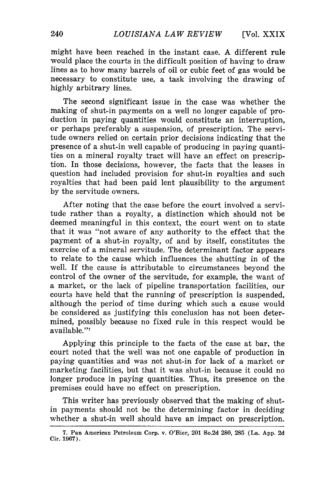might have been reached in the instant case. A different rule would place the courts in the difficult position of having to draw lines as to how many barrels of oil or cubic feet of gas would be necessary to constitute use, a task involving the drawing of highly arbitrary lines.

The second significant issue in the case was whether the making of shut-in payments on a well no longer capable of production in paying quantities would constitute an interruption, or perhaps preferably a suspension, of prescription. The servitude owners relied on certain prior decisions indicating that the presence of a shut-in well capable of producing in paying quantities on a mineral royalty tract will have an effect on prescription. In those decisions, however, the facts that the leases in question had included provision for shut-in royalties and such royalties that had been paid lent plausibility to the argument by the servitude owners.

After noting that the case before the court involved a servitude rather than a royalty, a distinction which should not be deemed meaningful in this context, the court went on to state that it was "not aware of any authority to the effect that the payment of a shut-in royalty, of and by itself, constitutes the exercise of a mineral servitude. The determinant factor appears to relate to the cause which influences the shutting in of the well. If the cause is attributable to circumstances beyond the control of the owner of the servitude, for example, the want of a market, or the lack of pipeline transportation facilities, our courts have held that the running of prescription is suspended, although the period of time during which such a cause would be considered as justifying this conclusion has not been determined, possibly because no fixed rule in this respect would be available."7

Applying this principle to the facts of the case at bar, the court noted that the well was not one capable of production in paying quantities and was not shut-in for lack of a market or marketing facilities, but that it was shut-in because it could no longer produce in paying quantities. Thus, its presence on the premises could have no effect on prescription.

This writer has previously observed that the making of shutin payments should not be the determining factor in deciding whether a shut-in well should have an impact on prescription.

**<sup>7.</sup>** Pan American Petroleum Corp. v. O'Bier, 201 So.2d **280, 285** (La. **App. 2d** Cir. **1967).**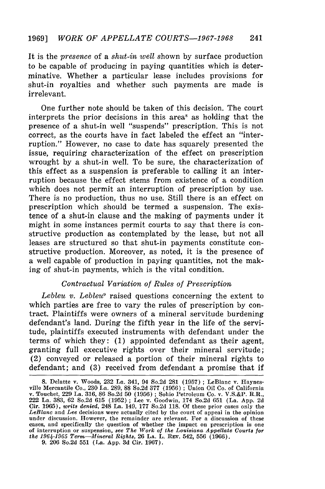It is the *presence* of a *shut-in well* shown by surface production to be capable of producing in paying quantities which is determinative. Whether a particular lease includes provisions for shut-in royalties and whether such payments are made is irrelevant.

One further note should be taken of this decision. The court interprets the prior decisions in this area<sup>s</sup> as holding that the presence of a shut-in well "suspends" prescription. This is not correct, as the courts have in fact labeled the effect an "interruption." However, no case to date has squarely presented the issue, requiring characterization of the effect on prescription wrought by a shut-in well. To be sure, the characterization of this effect as a suspension is preferable to calling it an interruption because the effect stems from existence of a condition which does not permit an interruption of prescription by use. There is no production, thus no use. Still there is an effect on prescription which should be termed a suspension. The existence of a shut-in clause and the making of payments under it might in some instances permit courts to say that there is constructive production as contemplated by the lease, but not all leases are structured so that shut-in payments constitute constructive production. Moreover, as noted, it is the presence of a well capable of production in paying quantities, not the making of shut-in payments, which is the vital condition.

# *Contractual Variation of Rules of Prescription*

*Lebleu v. Lebleu"* raised questions concerning the extent to which parties are free to vary the rules of prescription by contract. Plaintiffs were owners of a mineral servitude burdening defendant's land. During the fifth year in the life of the servitude, plaintiffs executed instruments with defendant under the terms of which they: (1) appointed defendant as their agent, granting full executive rights over their mineral servitude; (2) conveyed or released a portion of their mineral rights to defendant; and (3) received from defendant a promise that if

<sup>8.</sup> Delatte v. Woods, 232 La. 341, 94 So.2d 281 (1957) ; LeBlanc v. Haynesville Mercantile Co., 230 La. 289, 88 So.2d 377 (1956) **;** Union Oil Co. of California v. Touchet, 229 La. 316, 86 So.2d 50 (1956) ; Sohio Petroleum Co. v. V.S.&P. R.R., 222 La. 383, 62 So.2d 615 (1952) **;** Lee v. Goodwin, 174 So.2d 651 (La. App. 2d Cir. 1965), *writs denied,* 248 La. 149, 177 So.2d 118. Of these prior cases only the *LeBlanc* and *Lee* decisions were actually cited by the court of appeal in the opinion under discussion. However, the remainder are relevant. For a discussion of these cases, and specifically the question of whether the impact on prescription is one cases, and specifically the question of whether the impact on prescription is one of interruption or suspension, *see The Work of the Louisiana Appellate Courts for the 19611-1965 Term-Mineral Rights,* **26 LA.** L. REv. 542, **556 (1966).**

**<sup>9. 206</sup>** So.2d **551** (La. **App. 3d** Cir. **1967).**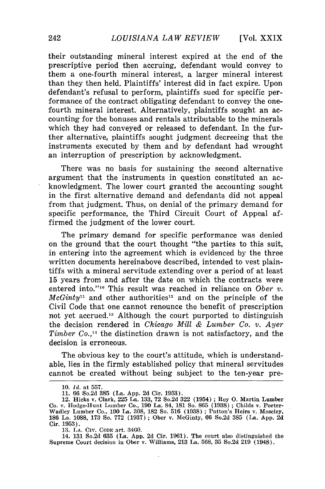their outstanding mineral interest expired at the end of the prescriptive period then accruing, defendant would convey to them a one-fourth mineral interest, a larger mineral interest than they then held. Plaintiffs' interest did in fact expire. Upon defendant's refusal to perform, plaintiffs sued for specific performance of the contract obligating defendant to convey the onefourth mineral interest. Alternatively, plaintiffs sought an accounting for the bonuses and rentals attributable to the minerals which they had conveyed or released to defendant. In the further alternative, plaintiffs sought judgment decreeing that the instruments executed by them and by defendant had wrought an interruption of prescription by acknowledgment.

There was no basis for sustaining the second alternative argument that the instruments in question constituted an acknowledgment. The lower court granted the accounting sought in the first alternative demand and defendants did not appeal from that judgment. Thus, on denial of the primary demand for specific performance, the Third Circuit Court of Appeal affirmed the judgment of the lower court.

The primary demand for specific performance was denied on the ground that the court thought "the parties to this suit, in entering into the agreement which is evidenced by the three written documents hereinabove described, intended to vest plaintiffs with a mineral servitude extending over a period of at least 15 years from and after the date on which the contracts were entered into."<sup>10</sup> This result was reached in reliance on *Ober v*.  $McGinty<sup>11</sup>$  and other authorities<sup>12</sup> and on the principle of the Civil Code that one cannot renounce the benefit of prescription not yet accrued.'8 Although the court purported to distinguish the decision rendered in *Chicago Mill & Lumber Co. v. Ayer Timber Co.,14* the distinction drawn is not satisfactory, and the decision is erroneous.

The obvious key to the court's attitude, which is understandable, lies in the firmly established policy that mineral servitudes cannot be created without being subject to the ten-year pre-

**<sup>10.</sup>** *Id.* at **557.**

**<sup>11. 66</sup>** So.2d **385** (La. **App. 2d** Cir. **1953).**

<sup>12.</sup> Hicks v. Clark, **225** La. **133, 72** So.2d **322** (1954) **;** Roy **0.** Martin Lumber Co. v. Hodge-Hunt Lumber Co., **190** La. 84, **181** So. **865 (1938) ;** Childs v. Porter-Wadley Lumber Co., **190** La. **308, 182** So. **516 (1938) ;** Patton's Heirs v. Moseley, **186** La. **1088, 173** So. **772 (1937)** Ober v. McGinty, **66** So.2d **385** (La. **App. 2d** Cir. **1953).**

**<sup>13.</sup> LA.** CIV. CODE art. 3460.

<sup>14.</sup> **131** So.2d **635** (La. **App. 2d** Cir. **1961).** The court also distinguished the Supreme Court decision in Ober v. Williams, **213** La. **568, 35** So.2d **219** (1948).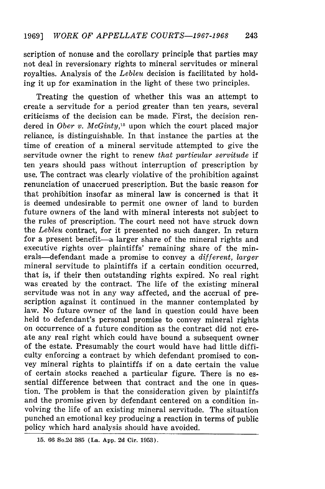scription of nonuse and the corollary principle that parties may not deal in reversionary rights to mineral servitudes or mineral royalties. Analysis of the *Lebleu* decision is facilitated by holding it up for examination in the light of these two principles.

Treating the question of whether this was an attempt to create a servitude for a period greater than ten years, several criticisms of the decision can be made. First, the decision rendered in *Ober v. McGinty*<sup>15</sup>, upon which the court placed major reliance, is distinguishable. In that instance the parties at the time of creation of a mineral servitude attempted to give the servitude owner the right to renew *that particular servitude* if ten years should pass without interruption of prescription by use. The contract was clearly violative of the prohibition against renunciation of unaccrued prescription. But the basic reason for that prohibition insofar as mineral law is concerned is that it is deemed undesirable to permit one owner of land to burden future owners of the land with mineral interests not subject to the rules of prescription. The court need not have struck down the *Lebleu* contract, for it presented no such danger. In return for a present benefit—a larger share of the mineral rights and executive rights over plaintiffs' remaining share of the minerals-defendant made a promise to convey a *different, larger* mineral servitude to plaintiffs if a certain condition occurred, that is, if their then outstanding rights expired. No real right was created by the contract. The life of the existing mineral servitude was not in any way affected, and the accrual of prescription against it continued in the manner contemplated by law. No future owner of the land in question could have been held to defendant's personal promise to convey mineral rights on occurrence of a future condition as the contract did not create any real right which could have bound a subsequent owner of the estate. Presumably the court would have had little difficulty enforcing a contract by which defendant promised to convey mineral rights to plaintiffs if on a date certain the value of certain stocks reached a particular figure. There is no essential difference between that contract and the one in question. The problem is that the consideration given by plaintiffs and the promise given by defendant centered on a condition involving the life of an existing mineral servitude. The situation punched an emotional key producing a reaction in terms of public policy which hard analysis should have avoided.

**<sup>15. 66</sup>** So.2d **385** (La. **App. 2d** Cir. **1953).**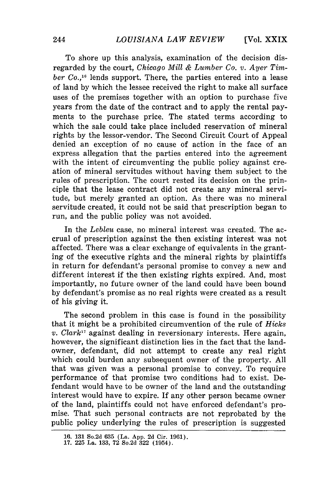**[Vol.** XXIX

To shore up this analysis, examination of the decision disregarded by the court, *Chicago Mill & Lumber Co. v. Ayer Timber Co.,16* lends support. There, the parties entered into a lease of land by which the lessee received the right to make all surface uses of the premises together with an option to purchase five years from the date of the contract and to apply the rental payments to the purchase price. The stated terms according to which the sale could take place included reservation of mineral rights by the lessor-vendor. The Second Circuit Court of Appeal denied an exception of no cause of action in the face of an express allegation that the parties entered into the agreement with the intent of circumventing the public policy against creation of mineral servitudes without having them subject to the rules of prescription. The court rested its decision on the principle that the lease contract did not create any mineral servitude, but merely granted an option. As there was no mineral servitude created, it could not be said that prescription began to run, and the public policy was not avoided.

In the *Lebleu* case, no mineral interest was created. The accrual of prescription against the then existing interest was not affected. There was a clear exchange of equivalents in the granting of the executive rights and the mineral rights by plaintiffs in return for defendant's personal promise to convey a new and different interest if the then existing rights expired. And, most importantly, no future owner of the land could have been bound by defendant's promise as no real rights were created as a result of his giving it.

The second problem in this case is found in the possibility that it might be a prohibited circumvention of the rule of *Hicks v. Clark"* against dealing in reversionary interests. Here again, however, the significant distinction lies in the fact that the landowner, defendant, did not attempt to create any real right which could burden any subsequent owner of the property. All that was given was a personal promise to convey. To require performance of that promise two conditions had to exist. Defendant would have to be owner of the land and the outstanding interest would have to expire. If any other person became owner of the land, plaintiffs could not have enforced defendant's promise. That such personal contracts are not reprobated by the public policy underlying the rules of prescription is suggested

**<sup>16. 131</sup>** So.2d **635** (La. **App. 2d** Cir. **1961). 17. 225** La. **133, 72** So.2d **322** (1954).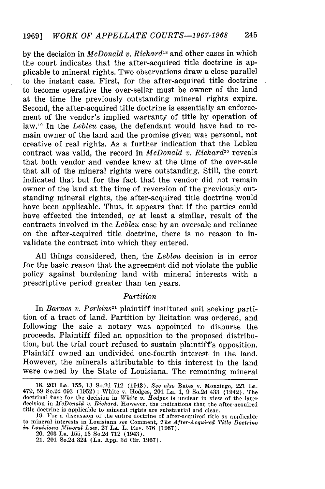by the decision in *McDonald v. Richard18* and other cases in which the court indicates that the after-acquired title doctrine is applicable to mineral rights. Two observations draw a close parallel to the instant case. First, for the after-acquired title doctrine to become operative the over-seller must be owner of the land at the time the previously outstanding mineral rights expire. Second, the after-acquired title doctrine is essentially an enforcement of the vendor's implied warranty of title by operation of law.1" In the *Lebleu* case, the defendant would have had to remain owner of the land and the promise given was personal, not creative of real rights. As a further indication that the Lebleu contract was valid, the record in *McDonald v. Richard20* reveals that both vendor and vendee knew at the time of the over-sale that all of the mineral rights were outstanding. Still, the court indicated that but for the fact that the vendor did not remain owner of the land at the time of reversion of the previously outstanding mineral rights, the after-acquired title doctrine would have been applicable. Thus, it appears that if the parties could have effected the intended, or at least a similar, result of the contracts involved in the *Lebleu* case by an oversale and reliance on the after-acquired title doctrine, there is no reason to invalidate the contract into which they entered.

All things considered, then, the *Lebleu* decision is in error for the basic reason that the agreement did not violate the public policy against burdening land with mineral interests with a prescriptive period greater than ten years.

#### *Partition*

In *Barnes v. Perkins*<sup>21</sup> plaintiff instituted suit seeking partition of a tract of land. Partition by licitation was ordered, and following the sale a notary was appointed to disburse the proceeds. Plaintiff filed an opposition to the proposed distribution, but the trial court refused to sustain plaintiff's opposition. Plaintiff owned an undivided one-fourth interest in the land. However, the minerals attributable to this interest in the land were owned by the State of Louisiana. The remaining mineral

**<sup>18. 203</sup>** La. **155, 13** So.2d **712** (1943). *See* also Bates v. Monzingo, 221 La. 479, 59 So.2d 693 (1952) **;** White v. Hodges, 201 La. **1, 9** So.2d 433 (1942). The doctrinal base for the decision in *White v. Hodges* is unclear in view of the later decision in *McDonald v. Richard.* However, the indications that the after-acquired title doctrine is applicable to mineral rights are substantial and clear.

**<sup>19.</sup>** For a discussion of the entire doctrine of after-acquired title as applicable **to** mineral interests in Louisiana *see* Comment, *The After-Acquired Title Doctrine in Louisiana Mineral Law,* 27 LA. L. REV. 576 **(1967).**

<sup>20.</sup> **203** La. **155, 13** So.2d **712** (1943).

<sup>21. 201</sup> So.2d 324 (La. **App. 3d** Cir. **1967).**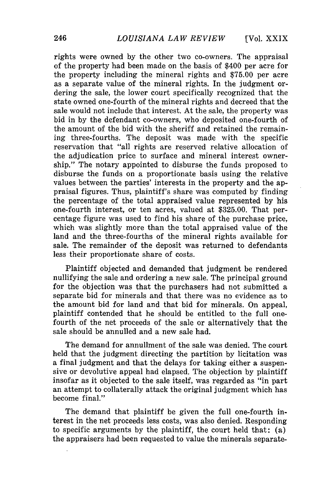**[Vol.** XXIX

rights were owned by the other two co-owners. The appraisal of the property had been made on the basis of \$400 per acre for the property including the mineral rights and \$75.00 per acre as a separate value of the mineral rights. In the judgment ordering the sale, the lower court specifically recognized that the state owned one-fourth of the mineral rights and decreed that the sale would not include that interest. At the sale, the property was bid in by the defendant co-owners, who deposited one-fourth of the amount of the bid with the sheriff and retained the remaining three-fourths. The deposit was made with the specific reservation that "all rights are reserved relative allocation of the adjudication price to surface and mineral interest ownership." The notary appointed to disburse the funds proposed to disburse the funds on a proportionate basis using the relative values between the parties' interests in the property and the appraisal figures. Thus, plaintiff's share was computed by finding the percentage of the total appraised value represented by his one-fourth interest, or ten acres, valued at \$325.00. That percentage figure was used to find his share of the purchase price, which was slightly more than the total appraised value of the land and the three-fourths of the mineral rights available for sale. The remainder of the deposit was returned to defendants less their proportionate share of costs.

Plaintiff objected and demanded that judgment be rendered nullifying the sale and ordering a new sale. The principal ground for the objection was that the purchasers had not submitted a separate bid for minerals and that there was no evidence as to the amount bid for land and that bid for minerals. On appeal, plaintiff contended that he should be entitled to the full onefourth of the net proceeds of the sale or alternatively that the sale should be annulled and a new sale had.

The demand for annullment of the sale was denied. The court held that the judgment directing the partition by licitation was a final judgment and that the delays for taking either a suspensive or devolutive appeal had elapsed. The objection by plaintiff insofar as it objected to the sale itself, was regarded as "in part an attempt to collaterally attack the original judgment which has become final."

The demand that plaintiff be given the full one-fourth interest in the net proceeds less costs, was also denied. Responding to specific arguments by the plaintiff, the court held that: (a) the appraisers had been requested to value the minerals separate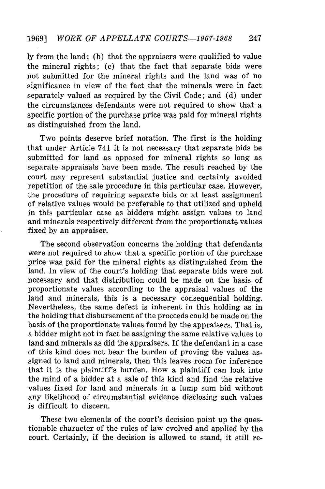ly from the land; (b) that the appraisers were qualified to value the mineral rights; (c) that the fact that separate bids were not submitted for the mineral rights and the land was of no significance in view of the fact that the minerals were in fact separately valued as required by the Civil Code; and (d) under the circumstances defendants were not required to show that a specific portion of the purchase price was paid for mineral rights as distinguished from the land.

Two points deserve brief notation. The first is the holding that under Article 741 it is not necessary that separate bids be submitted for land as opposed for mineral rights so long as separate appraisals have been made. The result reached by the court may represent substantial justice and certainly avoided repetition of the sale procedure in this particular case. However, the procedure of requiring separate bids or at least assignment of relative values would be preferable to that utilized and upheld in this particular case as bidders might assign values to land and minerals respectively different from the proportionate values fixed by an appraiser.

The second observation concerns the holding that defendants were not required to show that a specific portion of the purchase price was paid for the mineral rights as distinguished from the land. In view of the court's holding that separate bids were not necessary and that distribution could be made on the basis of proportionate values according to the appraisal values of the land and minerals, this is a necessary consequential holding. Nevertheless, the same defect is inherent in this holding as in the holding that disbursement of the proceeds could be made on the basis of the proportionate values found by the appraisers. That is, a bidder might not in fact be assigning the same relative values to land and minerals as did the appraisers. If the defendant in a case of this kind does not bear the burden of proving the values assigned to land and minerals, then this leaves room for inference that it is the plaintiff's burden. How a plaintiff can look into the mind of a bidder at a sale of this kind and find the relative values fixed for land and minerals in a lump sum bid without any likelihood of circumstantial evidence disclosing such values is difficult to discern.

These two elements of the court's decision point up the questionable character of the rules of law evolved and applied by the court. Certainly, if the decision is allowed to stand, it still re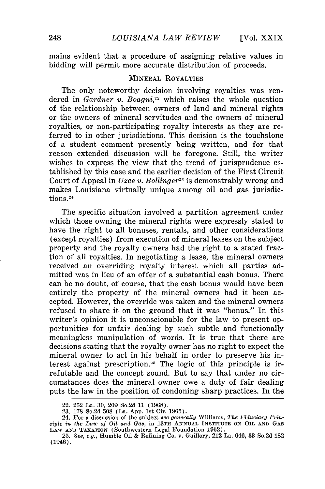mains evident that a procedure of assigning relative values in bidding will permit more accurate distribution of proceeds.

# MINERAL ROYALTIES

The only noteworthy decision involving royalties was rendered in *Gardner v. Boagni*<sup>22</sup> which raises the whole question of the relationship between owners of land and mineral rights or the owners of mineral servitudes and the owners of mineral royalties, or non-participating royalty interests as they are referred to in other jurisdictions. This decision is the touchstone of a student comment presently being written, and for that reason extended discussion will be foregone. Still, the writer wishes to express the view that the trend of jurisprudence established by this case and the earlier decision of the First Circuit Court of Appeal in *Uzee v. Bollinger*<sup>23</sup> is demonstrably wrong and makes Louisiana virtually unique among oil and gas jurisdictions.<sup>24</sup>

The specific situation involved a partition agreement under which those owning the mineral rights were expressly stated to have the right to all bonuses, rentals, and other considerations (except royalties) from execution of mineral leases on the subject property and the royalty owners had the right to a stated fraction of all royalties. In negotiating a lease, the mineral owners received an overriding royalty interest which all parties admitted was in lieu of an offer of a substantial cash bonus. There can be no doubt, of course, that the cash bonus would have been entirely the property of the mineral owners had it been accepted. However, the override was taken and the mineral owners refused to share it on the ground that it was "bonus." In this writer's opinion it is unconscionable for the law to present opportunities for unfair dealing by such subtle and functionally meaningless manipulation of words. It is true that there are decisions stating that the royalty owner has no right to expect the mineral owner to act in his behalf in order to preserve his interest against prescription.<sup>25</sup> The logic of this principle is irrefutable and the concept sound. But to say that under no circumstances does the mineral owner owe a duty of fair dealing puts the law in the position of condoning sharp practices. In the

<sup>22. 252</sup> La. 30, 209 So.2d 11 (1968).

<sup>23. 178</sup> So.2d 508 (La. App. 1st Cir. 1965).

<sup>24.</sup> For a discussion of the subject *see generally* Williams, *The Fiduciary Principle in the Law of Oil and Gas,* in 13TH **ANNUAL** INSTITUTE **ON** OIL **AND** GAS LAW **AND** TAXATION (Southwestern Legal Foundation 1962).

<sup>25.</sup> *See, e.g.,* Humble Oil & Refining Co. v. Guillory, 212 La. 646, 33 So.2d 182 (1946).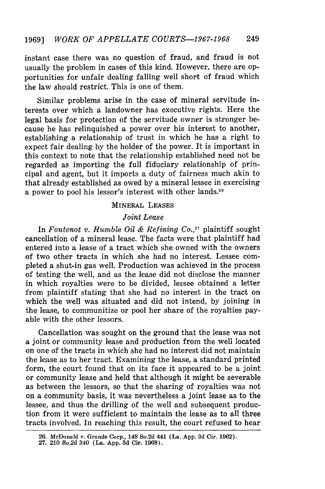instant case there was no question of fraud, and fraud is not usually the problem in cases of this kind. However, there are opportunities for unfair dealing falling well short of fraud which the law should restrict. This is one of them.

Similar problems arise in the case of mineral servitude interests over which a landowner has executive rights. Here the legal basis for protection of the servitude owner is stronger because he has relinquished a power over his interest to another, establishing a relationship of trust in which he has a right to expect fair dealing by the holder of the power. It is important in this context to note that the relationship established need not be regarded as importing the full fiduciary relationship of principal and agent, but it imports a duty of fairness much akin to that already established as owed by a mineral lessee in exercising a power to pool his lessor's interest with other lands.<sup>26</sup>

# MINERAL LEASES

### *Joint Lease*

In *Fontenot v. Humble Oil & Refining Co.,27* plaintiff sought cancellation of a mineral lease. The facts were that plaintiff had entered into a lease of a tract which she owned with the owners of two other tracts in which she had no interest. Lessee completed a shut-in gas well. Production was achieved in the process of testing the well, and as the lease did not disclose the manner in which royalties were to be divided, lessee obtained a letter from plaintiff stating that she had no interest in the tract on which the well was situated and did not intend, by joining in the lease, to communitize or pool her share of the royalties payable with the other lessors.

Cancellation was sought on the ground that the lease was not a joint or community lease and production from the well located on one of the tracts in which she had no interest did not maintain the lease as to her tract. Examining the lease, a standard printed form, the court found that on its face it appeared to be a joint or community lease and held that although it might be severable as between the lessors, so that the sharing of royalties was not on a community basis, it was nevertheless a joint lease as to the lessee, and thus the drilling of the well and subsequent production from it were sufficient to maintain the lease as to all three tracts involved. In reaching this result, the court refused to hear

**<sup>26.</sup>** McDonald **v.** Grande **Corp.,** 148 **So.2d** 441 **(La. App. 3d Cir. 1962). 27.** 210 So.2d 340 (La. **App. 3d** Cir. **1968).**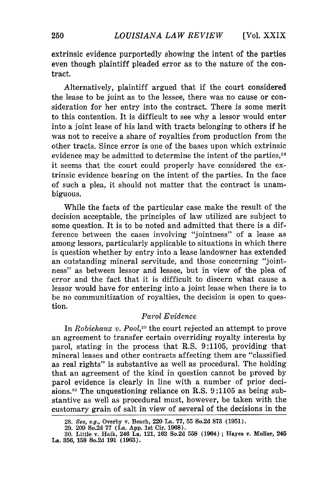extrinsic evidence purportedly showing the intent of the parties even though plaintiff pleaded error as to the nature of the contract.

Alternatively, plaintiff argued that if the court considered the lease to be joint as to the lessee, there was no cause or consideration for her entry into the contract. There is some merit to this contention. It is difficult to see why a lessor would enter into a joint lease of his land with tracts belonging to others if he was not to receive a share of royalties from production from the other tracts. Since error is one of the bases upon which extrinsic evidence may be admitted to determine the intent of the parties,<sup>28</sup> it seems that the court could properly have considered the extrinsic evidence bearing on the intent of the parties. In the face of such a plea, it should not matter that the contract is unambiguous.

While the facts of the particular case make the result of the decision acceptable, the principles of law utilized are subject to some question. It is to be noted and admitted that there is a difference between the cases involving "jointness" of a lease as among lessors, particularly applicable to situations in which there is question whether by entry into a lease landowner has extended an outstanding mineral servitude, and those concerning "jointness" as between lessor and lessee, but in view of the plea of error and the fact that it is difficult to discern what cause a lessor would have for entering into a joint lease when there is to be no communitization of royalties, the decision is open to question.

# *Parol Evidence*

In *Robichaux v. P001,29* the court rejected an attempt to prove an agreement to transfer certain overriding royalty interests by parol, stating in the process that R.S. 9:1105, providing that mineral leases and other contracts affecting them are "classified as real rights" is substantive as well as procedural. The holding that an agreement of the kind in question cannot be proved by parol evidence is clearly in line with a number of prior decisions.<sup>30</sup> The unquestioning reliance on R.S. 9:1105 as being substantive as well as procedural must, however, be taken with the customary grain of salt in view of several of the decisions in the

**<sup>28.</sup>** See, e.g., Overby v. Beach, 220 La. **77, 55** 'So.2d **873 (1951).**

**<sup>29. 209</sup>** So.2d 77 (La. **App. 1st** Cir. **1968).** 30. Little v. Haik, 246 La. 121, **163** So.2d **558** (1964) **;** Hayes v. Muller, **245** La. **356, 158** So.2d **191 (1963).**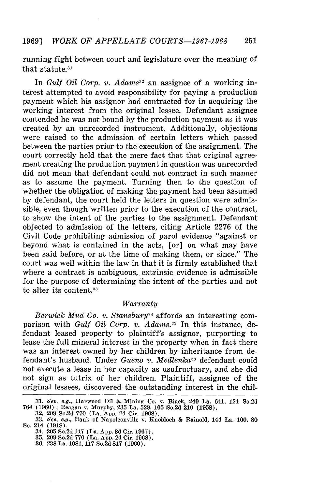#### 1969] *WORK OF APPELLATE COURTS-1967-1968* 251

running fight between court and legislature over the meaning of that statute.<sup>31</sup>

In *Gulf Oil Corp. v. Adams*<sup>32</sup> an assignee of a working interest attempted to avoid responsibility for paying a production payment which his assignor had contracted for in acquiring the working interest from the original lessee. Defendant assignee contended he was not bound by the production payment as it was created by an unrecorded instrument. Additionally, objections were raised to the admission of certain letters which passed between the parties prior to the execution of the assignment. The court correctly held that the mere fact that that original agreement creating the production payment in question was unrecorded did not mean that defendant could not contract in such manner as to assume the payment. Turning then to the question of whether the obligation of making the payment had been assumed by defendant, the court held the letters in question were admissible, even though written prior to the execution of the contract, to show the intent of the parties to the assignment. Defendant objected to admission of the letters, citing Article 2276 of the Civil Code prohibiting admission of parol evidence "against or beyond what is contained in the acts, [or] on what may have been said before, or at the time of making them, or since." The court was well within the law in that it is firmly established that where a contract is ambiguous, extrinsic evidence is admissible for the purpose of determining the intent of the parties and not to alter its content.<sup>33</sup>

# *Warranty*

*Berwick Mud Co. v. Stansbury34* affords an interesting comparison with *Gulf Oil Corp. v. Adams.5* In this instance, defendant leased property to plaintiff's assignor, purporting to lease the full mineral interest in the property when in fact there was an interest owned by her children by inheritance from defendant's husband. Under *Gueno v. Medlenka36* defendant could not execute a lease in her capacity as usufructuary, and she did not sign as tutrix of her children. Plaintiff, assignee of the original lessees, discovered the outstanding interest in the chil-

**<sup>31.</sup>** *See, e.g.,* Harwood Oil **&** Mining Co. v. Black, 240 La. 641, 124 So.2d 764 **(1960) ;** Reagan v. Murphy, **235** La. **529, 105** So.2d 210 **(1958). 32. 209** So.2d **770** (La. **App. 2d** Cir. **1968).**

**<sup>33.</sup>** See, *e.g.,* Bank of Napoleonville v. Knobloch **&** Rainold, 144 La. **100, 80** So. 214 **(1918).**

<sup>34.</sup> **205** So.2d 147 (La. **App. 3d** Cir. **1967).**

**<sup>35. 209</sup>** So.2d **770** (La. **App. 2d** Cir. **1968).**

**<sup>36. 238</sup> La. 1081, 117** So.2d **817 (1960).**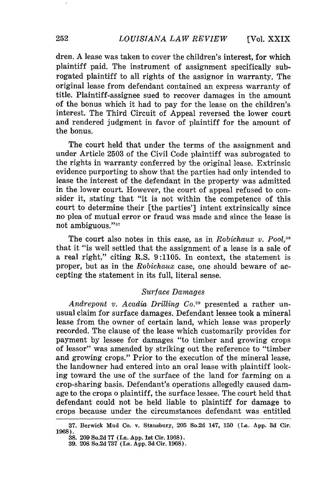**[Vol.** XXIX

dren. A lease was taken to cover the children's interest, for which plaintiff paid. The instrument of assignment specifically subrogated plaintiff to all rights of the assignor in warranty. The original lease from defendant contained an express warranty of title. Plaintiff-assignee sued to recover damages in the amount of the bonus which it had to pay for the lease on the children's interest. The Third Circuit of Appeal reversed the lower court and rendered judgment in favor of plaintiff for the amount of the bonus.

The court held that under the terms of the assignment and under Article 2503 of the Civil Code plaintiff was subrogated to the rights in warranty conferred by the original lease. Extrinsic evidence purporting to show that the parties had only intended to lease the interest of the defendant in the property was admitted in the lower court. However, the court of appeal refused to consider it, stating that "it is not within the competence of this court to determine their [the parties'] intent extrinsically since no plea of mutual error or fraud was made and since the lease is not ambiguous."<sup>37</sup>

The court also notes in this case, as in *Robichaux v. Pool*,<sup>38</sup> that it "is well settled that the assignment of a lease is a sale of a real right," citing R.S. 9:1105. In context, the statement is proper, but as in the *Robichaux* case, one should beware of accepting the statement in its full, literal sense.

#### *Surface Damages*

*Andrepont v. Acadia Drilling* **Co.39** presented a rather unusual claim for surface damages. Defendant lessee took a mineral lease from the owner of certain land, which lease was properly recorded. The clause of the lease which customarily provides for payment by lessee for damages "to timber and growing crops of lessor" was amended by striking out the reference to "timber and growing crops." Prior to the execution of the mineral lease, the landowner had entered into an oral lease with plaintiff looking toward the use of the surface of the land for farming on a crop-sharing basis. Defendant's operations allegedly caused damage to the crops o plaintiff, the surface lessee. The court held that defendant could not be held liable to plaintiff for damage to crops because under the circumstances defendant was entitled

**<sup>37.</sup>** Berwick Mud Co. v. Stansbury, **205** So.2d 147, **150** (La. **App. 3d** Cir. **1968).**

**<sup>38. 209</sup>** So.2d **77** (La. **App. 1st** Cir. **1968).**

**<sup>39. 208</sup>** So.2d **737** (La. **App. 3d** Cir. **1968).**